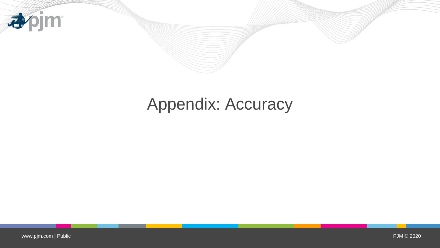

## Appendix: Accuracy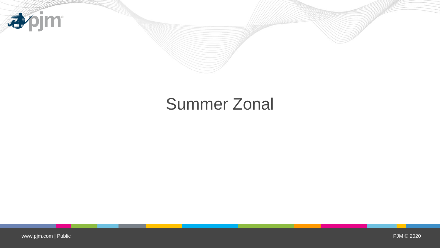

## Summer Zonal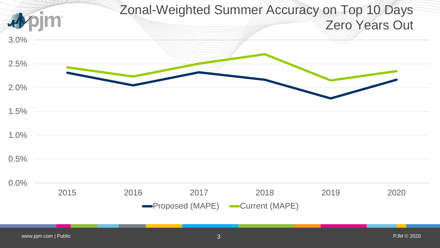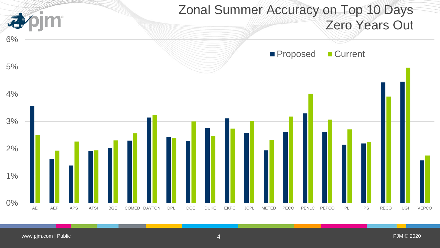

www.pjm.com | Public Public Public Public Public Public Public Public Public Public Public Public Public Public Public Public Public Public Public Public Public Public Public Public Public Public Public Public Public Publi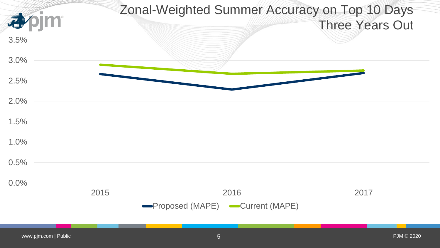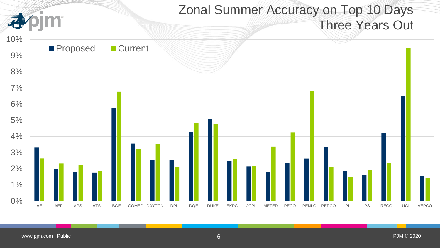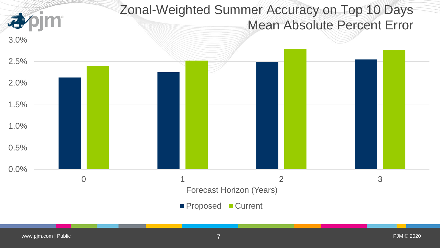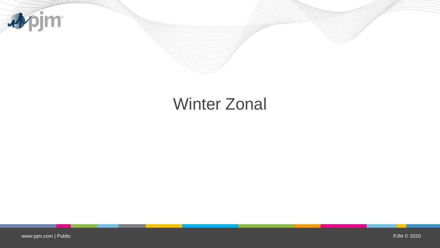

## Winter Zonal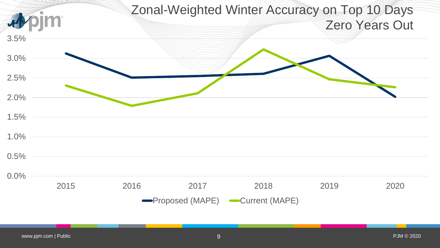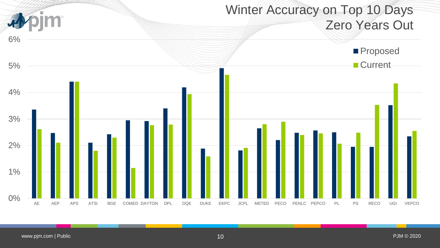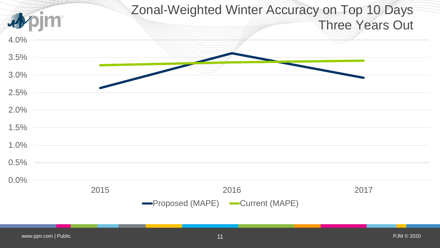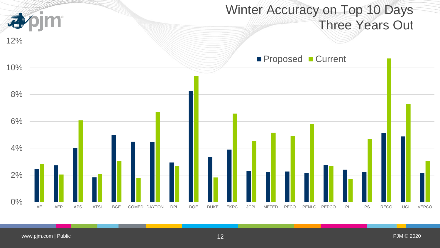## Winter Accuracy on Top 10 Days 尋 Three Years Out 12% **Proposed Current** 10% 8% 6% 4% 2% 0% AE AEP APS ATSI BGE COMED DAYTON DPL DQE DUKE EKPC JCPL METED PECO PENLC PEPCO PL PS RECO UGI VEPCO